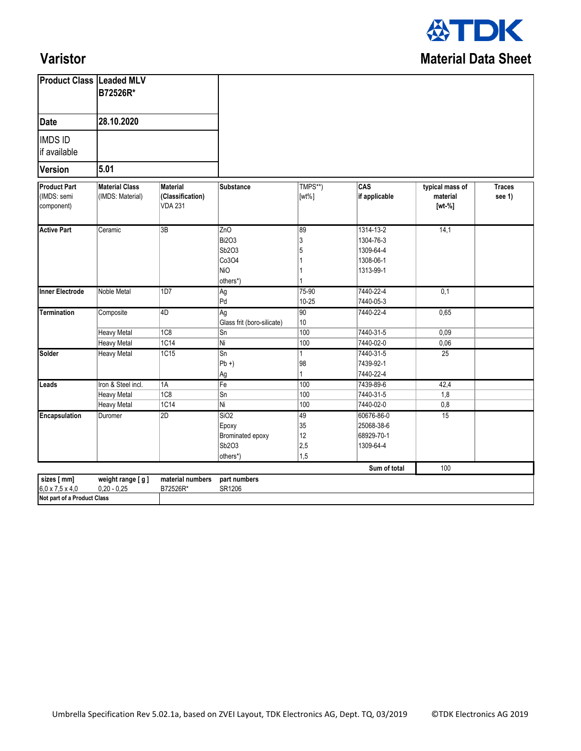

## **Varistor**

| <b>Date</b><br>28.10.2020<br>5.01<br>TMPS**)<br>CAS<br><b>Material Class</b><br>typical mass of<br><b>Material</b><br><b>Substance</b><br>if applicable<br>(IMDS: Material)<br>(Classification)<br>material<br>$[wt\%]$<br><b>VDA 231</b><br>$[wt-%]$ |                         |  |  |
|-------------------------------------------------------------------------------------------------------------------------------------------------------------------------------------------------------------------------------------------------------|-------------------------|--|--|
| <b>IMDS ID</b><br>if available<br><b>Version</b><br><b>Product Part</b><br>(IMDS: semi<br>component)                                                                                                                                                  |                         |  |  |
|                                                                                                                                                                                                                                                       |                         |  |  |
|                                                                                                                                                                                                                                                       |                         |  |  |
|                                                                                                                                                                                                                                                       | <b>Traces</b><br>see 1) |  |  |
| <b>Active Part</b><br>1314-13-2<br>14,1<br>3B<br>ZnO<br> 89<br>Ceramic<br>3<br>1304-76-3<br><b>Bi2O3</b><br>Sb2O3<br>5<br>1309-64-4<br>Co3O4<br>1308-06-1<br><b>NiO</b><br>1313-99-1<br>1<br>others*)                                                 |                         |  |  |
| 7440-22-4<br>0,1<br><b>Inner Electrode</b><br><b>Noble Metal</b><br>1D7<br>75-90<br>Ag<br>Pd<br>$10 - 25$<br>7440-05-3                                                                                                                                |                         |  |  |
| <b>Termination</b><br>0,65<br>4D<br> 90 <br>7440-22-4<br>Composite<br>Ag<br>10<br>Glass frit (boro-silicate)                                                                                                                                          |                         |  |  |
| 1C8<br>100<br>7440-31-5<br>0,09<br><b>Heavy Metal</b><br>Sn                                                                                                                                                                                           |                         |  |  |
| 1C14<br>Ni<br>7440-02-0<br>0,06<br>100<br><b>Heavy Metal</b>                                                                                                                                                                                          |                         |  |  |
| Solder<br>7440-31-5<br>1C15<br>Sn<br>$\overline{25}$<br><b>Heavy Metal</b><br>1<br>7439-92-1<br>$Pb +$<br> 98<br>7440-22-4<br>$\mathbf{1}$<br>Ag                                                                                                      |                         |  |  |
| Iron & Steel incl.<br>1A<br>$\overline{Fe}$<br>100<br>7439-89-6<br>42,4<br>Leads                                                                                                                                                                      |                         |  |  |
| 1C8<br>$\overline{\text{Sn}}$<br>7440-31-5<br>1,8<br>100<br><b>Heavy Metal</b>                                                                                                                                                                        |                         |  |  |
| $\overline{1C14}$<br>Ni<br>100<br>7440-02-0<br>0,8<br><b>Heavy Metal</b>                                                                                                                                                                              |                         |  |  |
| Encapsulation<br> 2D <br>SiO2<br>49<br>60676-86-0<br>15<br>Duromer<br>35<br>25068-38-6<br>Epoxy<br>12<br>68929-70-1<br>Brominated epoxy<br>Sb2O3<br> 2,5<br>1309-64-4<br> 1,5<br>others*)                                                             |                         |  |  |
| Sum of total<br>100                                                                                                                                                                                                                                   |                         |  |  |
| sizes [ mm]<br>weight range [g]<br>material numbers<br>part numbers<br>$0,20 - 0,25$<br>$6,0 \times 7,5 \times 4,0$<br>B72526R*<br>SR1206<br>Not part of a Product Class                                                                              |                         |  |  |